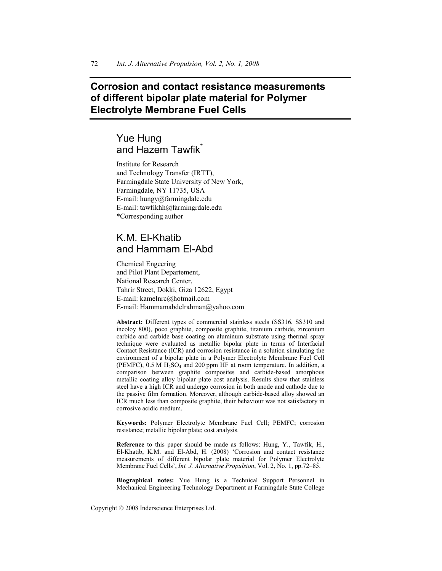# **Corrosion and contact resistance measurements of different bipolar plate material for Polymer Electrolyte Membrane Fuel Cells**

## Yue Hung and Hazem Tawfik<sup>\*</sup>

Institute for Research and Technology Transfer (IRTT), Farmingdale State University of New York, Farmingdale, NY 11735, USA E-mail: hungy@farmingdale.edu E-mail: tawfikhh@farmingrdale.edu \*Corresponding author

# K.M. El-Khatib and Hammam El-Abd

Chemical Engeering and Pilot Plant Departement, National Research Center, Tahrir Street, Dokki, Giza 12622, Egypt E-mail: kamelnrc@hotmail.com E-mail: Hammamabdelrahman@yahoo.com

**Abstract:** Different types of commercial stainless steels (SS316, SS310 and incoloy 800), poco graphite, composite graphite, titanium carbide, zirconium carbide and carbide base coating on aluminum substrate using thermal spray technique were evaluated as metallic bipolar plate in terms of Interfacial Contact Resistance (ICR) and corrosion resistance in a solution simulating the environment of a bipolar plate in a Polymer Electrolyte Membrane Fuel Cell (PEMFC),  $0.5$  M  $H<sub>2</sub>SO<sub>4</sub>$  and 200 ppm HF at room temperature. In addition, a comparison between graphite composites and carbide-based amorphous metallic coating alloy bipolar plate cost analysis. Results show that stainless steel have a high ICR and undergo corrosion in both anode and cathode due to the passive film formation. Moreover, although carbide-based alloy showed an ICR much less than composite graphite, their behaviour was not satisfactory in corrosive acidic medium.

**Keywords:** Polymer Electrolyte Membrane Fuel Cell; PEMFC; corrosion resistance; metallic bipolar plate; cost analysis.

**Reference** to this paper should be made as follows: Hung, Y., Tawfik, H., El-Khatib, K.M. and El-Abd, H. (2008) 'Corrosion and contact resistance measurements of different bipolar plate material for Polymer Electrolyte Membrane Fuel Cells', *Int. J. Alternative Propulsion*, Vol. 2, No. 1, pp.72–85.

**Biographical notes:** Yue Hung is a Technical Support Personnel in Mechanical Engineering Technology Department at Farmingdale State College

Copyright © 2008 Inderscience Enterprises Ltd.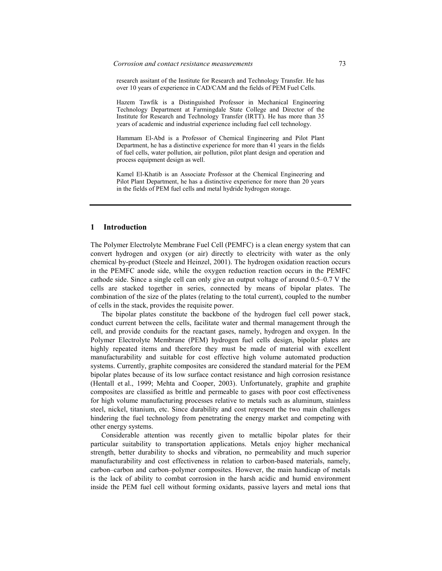research assitant of the Institute for Research and Technology Transfer. He has over 10 years of experience in CAD/CAM and the fields of PEM Fuel Cells.

Hazem Tawfik is a Distinguished Professor in Mechanical Engineering Technology Department at Farmingdale State College and Director of the Institute for Research and Technology Transfer (IRTT). He has more than 35 years of academic and industrial experience including fuel cell technology.

Hammam El-Abd is a Professor of Chemical Engineering and Pilot Plant Department, he has a distinctive experience for more than 41 years in the fields of fuel cells, water pollution, air pollution, pilot plant design and operation and process equipment design as well.

Kamel El-Khatib is an Associate Professor at the Chemical Engineering and Pilot Plant Department, he has a distinctive experience for more than 20 years in the fields of PEM fuel cells and metal hydride hydrogen storage.

## **1 Introduction**

The Polymer Electrolyte Membrane Fuel Cell (PEMFC) is a clean energy system that can convert hydrogen and oxygen (or air) directly to electricity with water as the only chemical by-product (Steele and Heinzel, 2001). The hydrogen oxidation reaction occurs in the PEMFC anode side, while the oxygen reduction reaction occurs in the PEMFC cathode side. Since a single cell can only give an output voltage of around 0.5–0.7 V the cells are stacked together in series, connected by means of bipolar plates. The combination of the size of the plates (relating to the total current), coupled to the number of cells in the stack, provides the requisite power.

The bipolar plates constitute the backbone of the hydrogen fuel cell power stack, conduct current between the cells, facilitate water and thermal management through the cell, and provide conduits for the reactant gases, namely, hydrogen and oxygen. In the Polymer Electrolyte Membrane (PEM) hydrogen fuel cells design, bipolar plates are highly repeated items and therefore they must be made of material with excellent manufacturability and suitable for cost effective high volume automated production systems. Currently, graphite composites are considered the standard material for the PEM bipolar plates because of its low surface contact resistance and high corrosion resistance (Hentall et al., 1999; Mehta and Cooper, 2003). Unfortunately, graphite and graphite composites are classified as brittle and permeable to gases with poor cost effectiveness for high volume manufacturing processes relative to metals such as aluminum, stainless steel, nickel, titanium, etc. Since durability and cost represent the two main challenges hindering the fuel technology from penetrating the energy market and competing with other energy systems.

Considerable attention was recently given to metallic bipolar plates for their particular suitability to transportation applications. Metals enjoy higher mechanical strength, better durability to shocks and vibration, no permeability and much superior manufacturability and cost effectiveness in relation to carbon-based materials, namely, carbon–carbon and carbon–polymer composites. However, the main handicap of metals is the lack of ability to combat corrosion in the harsh acidic and humid environment inside the PEM fuel cell without forming oxidants, passive layers and metal ions that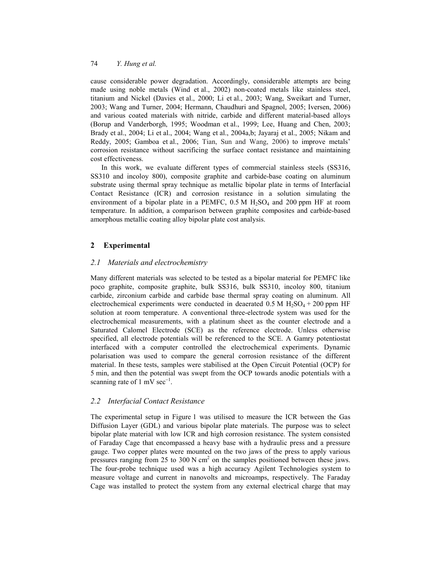cause considerable power degradation. Accordingly, considerable attempts are being made using noble metals (Wind et al., 2002) non-coated metals like stainless steel, titanium and Nickel (Davies et al., 2000; Li et al., 2003; Wang, Sweikart and Turner, 2003; Wang and Turner, 2004; Hermann, Chaudhuri and Spagnol, 2005; Iversen, 2006) and various coated materials with nitride, carbide and different material-based alloys (Borup and Vanderborgh, 1995; Woodman et al., 1999; Lee, Huang and Chen, 2003; Brady et al., 2004; Li et al., 2004; Wang et al., 2004a,b; Jayaraj et al., 2005; Nikam and Reddy, 2005; Gamboa et al., 2006; Tian, Sun and Wang, 2006) to improve metals' corrosion resistance without sacrificing the surface contact resistance and maintaining cost effectiveness.

In this work, we evaluate different types of commercial stainless steels (SS316, SS310 and incoloy 800), composite graphite and carbide-base coating on aluminum substrate using thermal spray technique as metallic bipolar plate in terms of Interfacial Contact Resistance (ICR) and corrosion resistance in a solution simulating the environment of a bipolar plate in a PEMFC,  $0.5$  M  $H<sub>2</sub>SO<sub>4</sub>$  and 200 ppm HF at room temperature. In addition, a comparison between graphite composites and carbide-based amorphous metallic coating alloy bipolar plate cost analysis.

## **2 Experimental**

### *2.1 Materials and electrochemistry*

Many different materials was selected to be tested as a bipolar material for PEMFC like poco graphite, composite graphite, bulk SS316, bulk SS310, incoloy 800, titanium carbide, zirconium carbide and carbide base thermal spray coating on aluminum. All electrochemical experiments were conducted in deaerated  $0.5$  M  $H_2SO_4 + 200$  ppm HF solution at room temperature. A conventional three-electrode system was used for the electrochemical measurements, with a platinum sheet as the counter electrode and a Saturated Calomel Electrode (SCE) as the reference electrode. Unless otherwise specified, all electrode potentials will be referenced to the SCE. A Gamry potentiostat interfaced with a computer controlled the electrochemical experiments. Dynamic polarisation was used to compare the general corrosion resistance of the different material. In these tests, samples were stabilised at the Open Circuit Potential (OCP) for 5 min, and then the potential was swept from the OCP towards anodic potentials with a scanning rate of 1 mV sec<sup>-1</sup>.

### *2.2 Interfacial Contact Resistance*

The experimental setup in Figure 1 was utilised to measure the ICR between the Gas Diffusion Layer (GDL) and various bipolar plate materials. The purpose was to select bipolar plate material with low ICR and high corrosion resistance. The system consisted of Faraday Cage that encompassed a heavy base with a hydraulic press and a pressure gauge. Two copper plates were mounted on the two jaws of the press to apply various pressures ranging from 25 to 300 N  $\text{cm}^2$  on the samples positioned between these jaws. The four-probe technique used was a high accuracy Agilent Technologies system to measure voltage and current in nanovolts and microamps, respectively. The Faraday Cage was installed to protect the system from any external electrical charge that may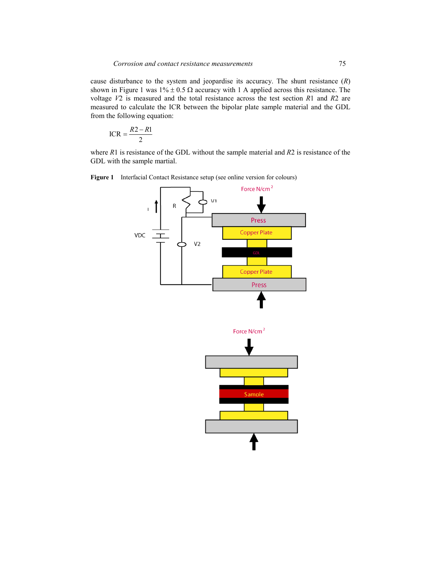cause disturbance to the system and jeopardise its accuracy. The shunt resistance (*R*) shown in Figure 1 was  $1\% \pm 0.5 \Omega$  accuracy with 1 A applied across this resistance. The voltage *V*2 is measured and the total resistance across the test section *R*1 and *R*2 are measured to calculate the ICR between the bipolar plate sample material and the GDL from the following equation:

$$
ICR = \frac{R2 - R1}{2}
$$

where *R*1 is resistance of the GDL without the sample material and *R*2 is resistance of the GDL with the sample martial.

**Figure 1** Interfacial Contact Resistance setup (see online version for colours)

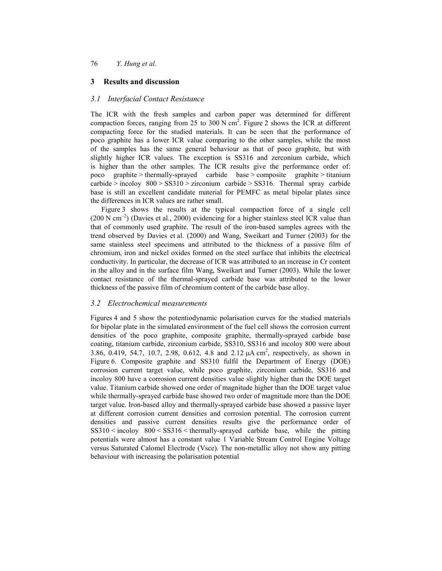### **3 Results and discussion**

## *3.1 Interfacial Contact Resistance*

The ICR with the fresh samples and carbon paper was determined for different compaction forces, ranging from 25 to 300 N cm<sup>2</sup>. Figure 2 shows the ICR at different compacting force for the studied materials. It can be seen that the performance of poco graphite has a lower ICR value comparing to the other samples, while the most of the samples has the same general behaviour as that of poco graphite, but with slightly higher ICR values. The exception is SS316 and zerconium carbide, which is higher than the other samples. The ICR results give the performance order of: poco graphite > thermally-sprayed carbide base > composite graphite > titanium carbide > incoloy 800 > SS310 > zirconium carbide > SS316. Thermal spray carbide base is still an excellent candidate material for PEMFC as metal bipolar plates since the differences in ICR values are rather small.

Figure 3 shows the results at the typical compaction force of a single cell  $(200 \text{ N cm}^{-2})$  (Davies et al., 2000) evidencing for a higher stainless steel ICR value than that of commonly used graphite. The result of the iron-based samples agrees with the trend observed by Davies et al. (2000) and Wang, Sweikart and Turner (2003) for the same stainless steel specimens and attributed to the thickness of a passive film of chromium, iron and nickel oxides formed on the steel surface that inhibits the electrical conductivity. In particular, the decrease of ICR was attributed to an increase in Cr content in the alloy and in the surface film Wang, Sweikart and Turner (2003). While the lower contact resistance of the thermal-sprayed carbide base was attributed to the lower thickness of the passive film of chromium content of the carbide base alloy.

#### *3.2 Electrochemical measurements*

Figures 4 and 5 show the potentiodynamic polarisation curves for the studied materials for bipolar plate in the simulated environment of the fuel cell shows the corrosion current densities of the poco graphite, composite graphite, thermally-sprayed carbide base coating, titanium carbide, zirconium carbide, SS310, SS316 and incoloy 800 were about 3.86, 0.419, 54.7, 10.7, 2.98, 0.612, 4.8 and 2.12  $\mu$ A cm<sup>2</sup>, respectively, as shown in Figure 6. Composite graphite and SS310 fulfil the Department of Energy (DOE) corrosion current target value, while poco graphite, zirconium carbide, SS316 and incoloy 800 have a corrosion current densities value slightly higher than the DOE target value. Titanium carbide showed one order of magnitude higher than the DOE target value while thermally-sprayed carbide base showed two order of magnitude more than the DOE target value. Iron-based alloy and thermally-sprayed carbide base showed a passive layer at different corrosion current densities and corrosion potential. The corrosion current densities and passive current densities results give the performance order of  $SS310 <$  incoloy  $800 <$  SS316  $<$  thermally-sprayed carbide base, while the pitting potentials were almost has a constant value 1 Variable Stream Control Engine Voltage versus Saturated Calomel Electrode (Vsce). The non-metallic alloy not show any pitting behaviour with increasing the polarisation potential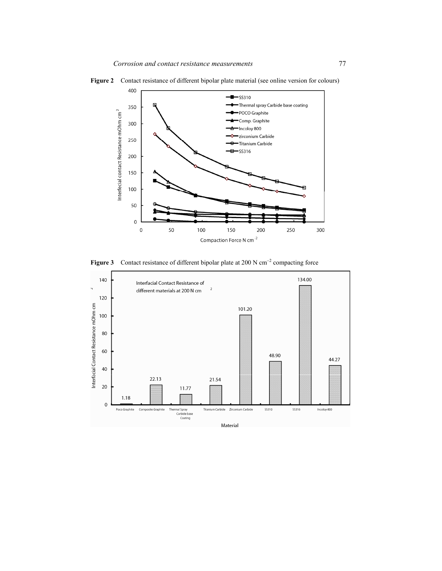

**Figure 2** Contact resistance of different bipolar plate material (see online version for colours)

**Figure 3** Contact resistance of different bipolar plate at 200 N  $cm^{-2}$  compacting force

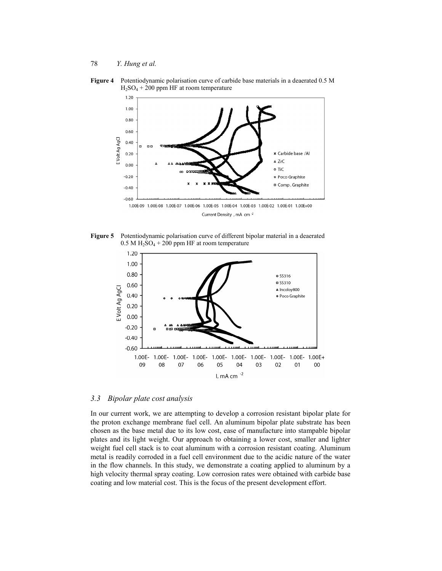



**Figure 5** Potentiodynamic polarisation curve of different bipolar material in a deaerated  $0.5$  M H<sub>2</sub>SO<sub>4</sub> + 200 ppm HF at room temperature



#### *3.3 Bipolar plate cost analysis*

In our current work, we are attempting to develop a corrosion resistant bipolar plate for the proton exchange membrane fuel cell. An aluminum bipolar plate substrate has been chosen as the base metal due to its low cost, ease of manufacture into stampable bipolar plates and its light weight. Our approach to obtaining a lower cost, smaller and lighter weight fuel cell stack is to coat aluminum with a corrosion resistant coating. Aluminum metal is readily corroded in a fuel cell environment due to the acidic nature of the water in the flow channels. In this study, we demonstrate a coating applied to aluminum by a high velocity thermal spray coating. Low corrosion rates were obtained with carbide base coating and low material cost. This is the focus of the present development effort.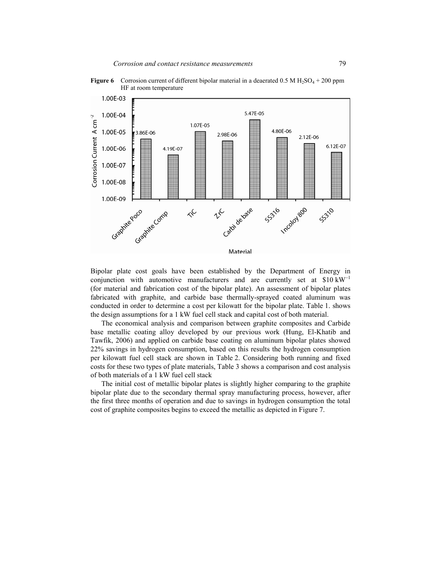

**Figure 6** Corrosion current of different bipolar material in a deaerated 0.5 M  $H_2SO_4$  + 200 ppm HF at room temperature

Bipolar plate cost goals have been established by the Department of Energy in conjunction with automotive manufacturers and are currently set at  $$10 \text{ kW}^{-1}$ (for material and fabrication cost of the bipolar plate). An assessment of bipolar plates fabricated with graphite, and carbide base thermally-sprayed coated aluminum was conducted in order to determine a cost per kilowatt for the bipolar plate. Table 1. shows the design assumptions for a 1 kW fuel cell stack and capital cost of both material.

The economical analysis and comparison between graphite composites and Carbide base metallic coating alloy developed by our previous work (Hung, El-Khatib and Tawfik, 2006) and applied on carbide base coating on aluminum bipolar plates showed 22% savings in hydrogen consumption, based on this results the hydrogen consumption per kilowatt fuel cell stack are shown in Table 2. Considering both running and fixed costs for these two types of plate materials, Table 3 shows a comparison and cost analysis of both materials of a 1 kW fuel cell stack

The initial cost of metallic bipolar plates is slightly higher comparing to the graphite bipolar plate due to the secondary thermal spray manufacturing process, however, after the first three months of operation and due to savings in hydrogen consumption the total cost of graphite composites begins to exceed the metallic as depicted in Figure 7.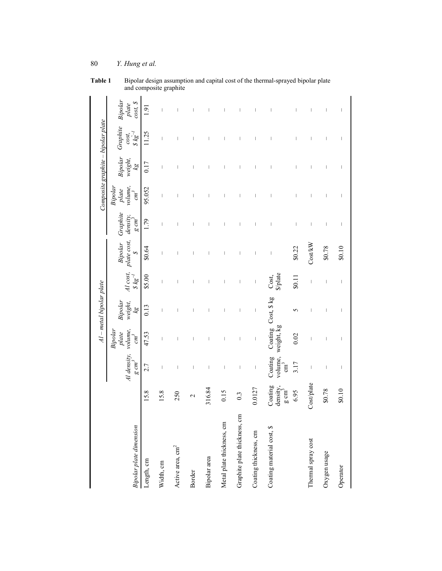|                                |                                         |                                                                                                                                                                                                                                                                                                                                                                                  |                                                                                                                                                                                                                                                                                                                                                                                  | Al - metal bipolar plate                                                                                                                                                                                                                                                                                                                                                         |                                                                                                                                                                                                                                                                                                                                                                                  |                                                                                                                                                                                                                                                                                                                                                                                  |                                                                                                                                                                                                                                                                                                                                                                                                                |                                                             |                                                | Composite graphite - bipolar plate                                                                                                                                                                                                                                                                                                                                               |                                      |
|--------------------------------|-----------------------------------------|----------------------------------------------------------------------------------------------------------------------------------------------------------------------------------------------------------------------------------------------------------------------------------------------------------------------------------------------------------------------------------|----------------------------------------------------------------------------------------------------------------------------------------------------------------------------------------------------------------------------------------------------------------------------------------------------------------------------------------------------------------------------------|----------------------------------------------------------------------------------------------------------------------------------------------------------------------------------------------------------------------------------------------------------------------------------------------------------------------------------------------------------------------------------|----------------------------------------------------------------------------------------------------------------------------------------------------------------------------------------------------------------------------------------------------------------------------------------------------------------------------------------------------------------------------------|----------------------------------------------------------------------------------------------------------------------------------------------------------------------------------------------------------------------------------------------------------------------------------------------------------------------------------------------------------------------------------|----------------------------------------------------------------------------------------------------------------------------------------------------------------------------------------------------------------------------------------------------------------------------------------------------------------------------------------------------------------------------------------------------------------|-------------------------------------------------------------|------------------------------------------------|----------------------------------------------------------------------------------------------------------------------------------------------------------------------------------------------------------------------------------------------------------------------------------------------------------------------------------------------------------------------------------|--------------------------------------|
| <b>Bipolar plate dimension</b> |                                         | Al density,<br>$g \, cm^3$                                                                                                                                                                                                                                                                                                                                                       | plate<br>volume,<br><b>Bipolar</b><br>$cm^3$                                                                                                                                                                                                                                                                                                                                     | Bipolar<br>weight,<br>$k_{\mathcal{S}}$                                                                                                                                                                                                                                                                                                                                          | Al cost,<br>$$kg^{-1}$$                                                                                                                                                                                                                                                                                                                                                          | Bipolar<br>plate cost,<br>\$                                                                                                                                                                                                                                                                                                                                                     | Graphite<br>density,<br>$g \, cm^3$                                                                                                                                                                                                                                                                                                                                                                            | $_{\rm volume,}^{\rm{plate}}$<br>Bipolar<br>cm <sup>3</sup> | <b>Bipolar</b><br>weight,<br>$k_{\mathcal{S}}$ | Graphite<br>$\frac{cost}{\sqrt[3]{kg}^{-l}}$                                                                                                                                                                                                                                                                                                                                     | Bipolar<br>$cost,$ $\Omega$<br>plate |
| Length, cm                     | 15.8                                    | 2.7                                                                                                                                                                                                                                                                                                                                                                              | 47.53                                                                                                                                                                                                                                                                                                                                                                            | 0.13                                                                                                                                                                                                                                                                                                                                                                             | \$5.00                                                                                                                                                                                                                                                                                                                                                                           | \$0.64                                                                                                                                                                                                                                                                                                                                                                           | 1.79                                                                                                                                                                                                                                                                                                                                                                                                           | 95.052                                                      | 0.17                                           | 11.25                                                                                                                                                                                                                                                                                                                                                                            | 1.91                                 |
| Width, cm                      | 15.8                                    | $\overline{\phantom{a}}$                                                                                                                                                                                                                                                                                                                                                         | I                                                                                                                                                                                                                                                                                                                                                                                | $\begin{array}{c} \end{array}$                                                                                                                                                                                                                                                                                                                                                   | $\mid$                                                                                                                                                                                                                                                                                                                                                                           | I                                                                                                                                                                                                                                                                                                                                                                                | $\begin{array}{c} \rule{0pt}{2.5ex} \rule{0pt}{2.5ex} \rule{0pt}{2.5ex} \rule{0pt}{2.5ex} \rule{0pt}{2.5ex} \rule{0pt}{2.5ex} \rule{0pt}{2.5ex} \rule{0pt}{2.5ex} \rule{0pt}{2.5ex} \rule{0pt}{2.5ex} \rule{0pt}{2.5ex} \rule{0pt}{2.5ex} \rule{0pt}{2.5ex} \rule{0pt}{2.5ex} \rule{0pt}{2.5ex} \rule{0pt}{2.5ex} \rule{0pt}{2.5ex} \rule{0pt}{2.5ex} \rule{0pt}{2.5ex} \rule{0$                               | $\begin{array}{c} \end{array}$                              | I                                              | $\begin{array}{c} \rule{0pt}{2.5ex} \rule{0pt}{2.5ex} \rule{0pt}{2.5ex} \rule{0pt}{2.5ex} \rule{0pt}{2.5ex} \rule{0pt}{2.5ex} \rule{0pt}{2.5ex} \rule{0pt}{2.5ex} \rule{0pt}{2.5ex} \rule{0pt}{2.5ex} \rule{0pt}{2.5ex} \rule{0pt}{2.5ex} \rule{0pt}{2.5ex} \rule{0pt}{2.5ex} \rule{0pt}{2.5ex} \rule{0pt}{2.5ex} \rule{0pt}{2.5ex} \rule{0pt}{2.5ex} \rule{0pt}{2.5ex} \rule{0$ | $\overline{\phantom{a}}$             |
| Active area, cm <sup>2</sup>   | 250                                     |                                                                                                                                                                                                                                                                                                                                                                                  |                                                                                                                                                                                                                                                                                                                                                                                  |                                                                                                                                                                                                                                                                                                                                                                                  |                                                                                                                                                                                                                                                                                                                                                                                  |                                                                                                                                                                                                                                                                                                                                                                                  |                                                                                                                                                                                                                                                                                                                                                                                                                |                                                             |                                                |                                                                                                                                                                                                                                                                                                                                                                                  |                                      |
| Border                         | $\mathbf{\sim}$                         | $\begin{array}{c} \rule{0pt}{2.5ex} \rule{0pt}{2.5ex} \rule{0pt}{2.5ex} \rule{0pt}{2.5ex} \rule{0pt}{2.5ex} \rule{0pt}{2.5ex} \rule{0pt}{2.5ex} \rule{0pt}{2.5ex} \rule{0pt}{2.5ex} \rule{0pt}{2.5ex} \rule{0pt}{2.5ex} \rule{0pt}{2.5ex} \rule{0pt}{2.5ex} \rule{0pt}{2.5ex} \rule{0pt}{2.5ex} \rule{0pt}{2.5ex} \rule{0pt}{2.5ex} \rule{0pt}{2.5ex} \rule{0pt}{2.5ex} \rule{0$ |                                                                                                                                                                                                                                                                                                                                                                                  | $\overline{\phantom{a}}$                                                                                                                                                                                                                                                                                                                                                         |                                                                                                                                                                                                                                                                                                                                                                                  |                                                                                                                                                                                                                                                                                                                                                                                  | $\overline{\phantom{a}}$                                                                                                                                                                                                                                                                                                                                                                                       |                                                             |                                                | $\overline{\phantom{a}}$                                                                                                                                                                                                                                                                                                                                                         |                                      |
| Bipolar area                   | 316.84                                  | I                                                                                                                                                                                                                                                                                                                                                                                |                                                                                                                                                                                                                                                                                                                                                                                  | I                                                                                                                                                                                                                                                                                                                                                                                | I                                                                                                                                                                                                                                                                                                                                                                                |                                                                                                                                                                                                                                                                                                                                                                                  | I                                                                                                                                                                                                                                                                                                                                                                                                              | I                                                           |                                                |                                                                                                                                                                                                                                                                                                                                                                                  |                                      |
| Metal plate thickness, cm      | 0.15                                    | $\mid$                                                                                                                                                                                                                                                                                                                                                                           |                                                                                                                                                                                                                                                                                                                                                                                  | $\begin{array}{c} \end{array}$                                                                                                                                                                                                                                                                                                                                                   | $\mid$                                                                                                                                                                                                                                                                                                                                                                           |                                                                                                                                                                                                                                                                                                                                                                                  | $\mid$                                                                                                                                                                                                                                                                                                                                                                                                         | $\mid$                                                      |                                                | $\mid$                                                                                                                                                                                                                                                                                                                                                                           |                                      |
| Graphite plate thickness, cm   | 0.3                                     | $\begin{array}{c} \rule{0pt}{2.5ex} \rule{0pt}{2.5ex} \rule{0pt}{2.5ex} \rule{0pt}{2.5ex} \rule{0pt}{2.5ex} \rule{0pt}{2.5ex} \rule{0pt}{2.5ex} \rule{0pt}{2.5ex} \rule{0pt}{2.5ex} \rule{0pt}{2.5ex} \rule{0pt}{2.5ex} \rule{0pt}{2.5ex} \rule{0pt}{2.5ex} \rule{0pt}{2.5ex} \rule{0pt}{2.5ex} \rule{0pt}{2.5ex} \rule{0pt}{2.5ex} \rule{0pt}{2.5ex} \rule{0pt}{2.5ex} \rule{0$ | $\begin{array}{c} \rule{0pt}{2.5ex} \rule{0pt}{2.5ex} \rule{0pt}{2.5ex} \rule{0pt}{2.5ex} \rule{0pt}{2.5ex} \rule{0pt}{2.5ex} \rule{0pt}{2.5ex} \rule{0pt}{2.5ex} \rule{0pt}{2.5ex} \rule{0pt}{2.5ex} \rule{0pt}{2.5ex} \rule{0pt}{2.5ex} \rule{0pt}{2.5ex} \rule{0pt}{2.5ex} \rule{0pt}{2.5ex} \rule{0pt}{2.5ex} \rule{0pt}{2.5ex} \rule{0pt}{2.5ex} \rule{0pt}{2.5ex} \rule{0$ | $\begin{array}{c} \rule{0pt}{2.5ex} \rule{0pt}{2.5ex} \rule{0pt}{2.5ex} \rule{0pt}{2.5ex} \rule{0pt}{2.5ex} \rule{0pt}{2.5ex} \rule{0pt}{2.5ex} \rule{0pt}{2.5ex} \rule{0pt}{2.5ex} \rule{0pt}{2.5ex} \rule{0pt}{2.5ex} \rule{0pt}{2.5ex} \rule{0pt}{2.5ex} \rule{0pt}{2.5ex} \rule{0pt}{2.5ex} \rule{0pt}{2.5ex} \rule{0pt}{2.5ex} \rule{0pt}{2.5ex} \rule{0pt}{2.5ex} \rule{0$ | $\begin{array}{c} \end{array}$                                                                                                                                                                                                                                                                                                                                                   |                                                                                                                                                                                                                                                                                                                                                                                  | $\begin{array}{c} \rule{0pt}{2.5ex} \rule{0pt}{2.5ex} \rule{0pt}{2.5ex} \rule{0pt}{2.5ex} \rule{0pt}{2.5ex} \rule{0pt}{2.5ex} \rule{0pt}{2.5ex} \rule{0pt}{2.5ex} \rule{0pt}{2.5ex} \rule{0pt}{2.5ex} \rule{0pt}{2.5ex} \rule{0pt}{2.5ex} \rule{0pt}{2.5ex} \rule{0pt}{2.5ex} \rule{0pt}{2.5ex} \rule{0pt}{2.5ex} \rule{0pt}{2.5ex} \rule{0pt}{2.5ex} \rule{0pt}{2.5ex} \rule{0$                               | I                                                           |                                                | I                                                                                                                                                                                                                                                                                                                                                                                |                                      |
| Coating thickness, cm          | 0.0127                                  | $\mid$                                                                                                                                                                                                                                                                                                                                                                           | $\mid$                                                                                                                                                                                                                                                                                                                                                                           | $\begin{array}{c} \rule{0pt}{2.5ex} \rule{0pt}{2.5ex} \rule{0pt}{2.5ex} \rule{0pt}{2.5ex} \rule{0pt}{2.5ex} \rule{0pt}{2.5ex} \rule{0pt}{2.5ex} \rule{0pt}{2.5ex} \rule{0pt}{2.5ex} \rule{0pt}{2.5ex} \rule{0pt}{2.5ex} \rule{0pt}{2.5ex} \rule{0pt}{2.5ex} \rule{0pt}{2.5ex} \rule{0pt}{2.5ex} \rule{0pt}{2.5ex} \rule{0pt}{2.5ex} \rule{0pt}{2.5ex} \rule{0pt}{2.5ex} \rule{0$ | $\begin{array}{c} \hline \end{array}$                                                                                                                                                                                                                                                                                                                                            | $\begin{array}{c} \rule{0pt}{2.5ex} \rule{0pt}{2.5ex} \rule{0pt}{2.5ex} \rule{0pt}{2.5ex} \rule{0pt}{2.5ex} \rule{0pt}{2.5ex} \rule{0pt}{2.5ex} \rule{0pt}{2.5ex} \rule{0pt}{2.5ex} \rule{0pt}{2.5ex} \rule{0pt}{2.5ex} \rule{0pt}{2.5ex} \rule{0pt}{2.5ex} \rule{0pt}{2.5ex} \rule{0pt}{2.5ex} \rule{0pt}{2.5ex} \rule{0pt}{2.5ex} \rule{0pt}{2.5ex} \rule{0pt}{2.5ex} \rule{0$ | $\begin{array}{c} \rule{0pt}{2.5ex} \rule{0pt}{2.5ex} \rule{0pt}{2.5ex} \rule{0pt}{2.5ex} \rule{0pt}{2.5ex} \rule{0pt}{2.5ex} \rule{0pt}{2.5ex} \rule{0pt}{2.5ex} \rule{0pt}{2.5ex} \rule{0pt}{2.5ex} \rule{0pt}{2.5ex} \rule{0pt}{2.5ex} \rule{0pt}{2.5ex} \rule{0pt}{2.5ex} \rule{0pt}{2.5ex} \rule{0pt}{2.5ex} \rule{0pt}{2.5ex} \rule{0pt}{2.5ex} \rule{0pt}{2.5ex} \rule{0$                               | $\begin{array}{c} \end{array}$                              |                                                | $\overline{\phantom{a}}$                                                                                                                                                                                                                                                                                                                                                         | $\begin{array}{c} \end{array}$       |
| Coating material cost, \$      | Coating<br>density,<br>$g \text{ cm}^3$ | volume,<br>Coating<br>$\operatorname{cm}^3$                                                                                                                                                                                                                                                                                                                                      | Coating<br>weight, kg                                                                                                                                                                                                                                                                                                                                                            | Cost, \$ kg                                                                                                                                                                                                                                                                                                                                                                      | Cost,<br>\$/plate                                                                                                                                                                                                                                                                                                                                                                | I                                                                                                                                                                                                                                                                                                                                                                                | I                                                                                                                                                                                                                                                                                                                                                                                                              | $\overline{\phantom{a}}$                                    |                                                |                                                                                                                                                                                                                                                                                                                                                                                  |                                      |
|                                | 6.95                                    | 3.17                                                                                                                                                                                                                                                                                                                                                                             | 0.02                                                                                                                                                                                                                                                                                                                                                                             | 5                                                                                                                                                                                                                                                                                                                                                                                | \$0.11                                                                                                                                                                                                                                                                                                                                                                           | \$0.22                                                                                                                                                                                                                                                                                                                                                                           | $\begin{array}{c} \rule{0pt}{2.5ex} \rule{0pt}{2.5ex} \rule{0pt}{2.5ex} \rule{0pt}{2.5ex} \rule{0pt}{2.5ex} \rule{0pt}{2.5ex} \rule{0pt}{2.5ex} \rule{0pt}{2.5ex} \rule{0pt}{2.5ex} \rule{0pt}{2.5ex} \rule{0pt}{2.5ex} \rule{0pt}{2.5ex} \rule{0pt}{2.5ex} \rule{0pt}{2.5ex} \rule{0pt}{2.5ex} \rule{0pt}{2.5ex} \rule{0pt}{2.5ex} \rule{0pt}{2.5ex} \rule{0pt}{2.5ex} \rule{0$                               | I                                                           |                                                | I                                                                                                                                                                                                                                                                                                                                                                                |                                      |
| Thermal spray cost             | Cost/plate                              | $\mid$                                                                                                                                                                                                                                                                                                                                                                           | $\begin{array}{c} \end{array}$                                                                                                                                                                                                                                                                                                                                                   |                                                                                                                                                                                                                                                                                                                                                                                  | $\begin{array}{c} \rule{0pt}{2.5ex} \rule{0pt}{2.5ex} \rule{0pt}{2.5ex} \rule{0pt}{2.5ex} \rule{0pt}{2.5ex} \rule{0pt}{2.5ex} \rule{0pt}{2.5ex} \rule{0pt}{2.5ex} \rule{0pt}{2.5ex} \rule{0pt}{2.5ex} \rule{0pt}{2.5ex} \rule{0pt}{2.5ex} \rule{0pt}{2.5ex} \rule{0pt}{2.5ex} \rule{0pt}{2.5ex} \rule{0pt}{2.5ex} \rule{0pt}{2.5ex} \rule{0pt}{2.5ex} \rule{0pt}{2.5ex} \rule{0$ | Cost/kW                                                                                                                                                                                                                                                                                                                                                                          | $\mid$                                                                                                                                                                                                                                                                                                                                                                                                         | I                                                           |                                                | $\begin{array}{c} \rule{0pt}{2.5ex} \rule{0pt}{2.5ex} \rule{0pt}{2.5ex} \rule{0pt}{2.5ex} \rule{0pt}{2.5ex} \rule{0pt}{2.5ex} \rule{0pt}{2.5ex} \rule{0pt}{2.5ex} \rule{0pt}{2.5ex} \rule{0pt}{2.5ex} \rule{0pt}{2.5ex} \rule{0pt}{2.5ex} \rule{0pt}{2.5ex} \rule{0pt}{2.5ex} \rule{0pt}{2.5ex} \rule{0pt}{2.5ex} \rule{0pt}{2.5ex} \rule{0pt}{2.5ex} \rule{0pt}{2.5ex} \rule{0$ | I                                    |
| Oxygen usage                   | \$0.78                                  | $\mid$                                                                                                                                                                                                                                                                                                                                                                           | I                                                                                                                                                                                                                                                                                                                                                                                | $\begin{array}{c} \rule{0pt}{2.5ex} \rule{0pt}{2.5ex} \rule{0pt}{2.5ex} \rule{0pt}{2.5ex} \rule{0pt}{2.5ex} \rule{0pt}{2.5ex} \rule{0pt}{2.5ex} \rule{0pt}{2.5ex} \rule{0pt}{2.5ex} \rule{0pt}{2.5ex} \rule{0pt}{2.5ex} \rule{0pt}{2.5ex} \rule{0pt}{2.5ex} \rule{0pt}{2.5ex} \rule{0pt}{2.5ex} \rule{0pt}{2.5ex} \rule{0pt}{2.5ex} \rule{0pt}{2.5ex} \rule{0pt}{2.5ex} \rule{0$ | $\mid$                                                                                                                                                                                                                                                                                                                                                                           | \$0.78                                                                                                                                                                                                                                                                                                                                                                           | $\begin{array}{c} \rule{0pt}{2ex} \rule{0pt}{2ex} \rule{0pt}{2ex} \rule{0pt}{2ex} \rule{0pt}{2ex} \rule{0pt}{2ex} \rule{0pt}{2ex} \rule{0pt}{2ex} \rule{0pt}{2ex} \rule{0pt}{2ex} \rule{0pt}{2ex} \rule{0pt}{2ex} \rule{0pt}{2ex} \rule{0pt}{2ex} \rule{0pt}{2ex} \rule{0pt}{2ex} \rule{0pt}{2ex} \rule{0pt}{2ex} \rule{0pt}{2ex} \rule{0pt}{2ex} \rule{0pt}{2ex} \rule{0pt}{2ex} \rule{0pt}{2ex} \rule{0pt}{$ | I                                                           | I                                              | $\mid$                                                                                                                                                                                                                                                                                                                                                                           | I                                    |
| Operator                       | \$0.10                                  |                                                                                                                                                                                                                                                                                                                                                                                  |                                                                                                                                                                                                                                                                                                                                                                                  |                                                                                                                                                                                                                                                                                                                                                                                  |                                                                                                                                                                                                                                                                                                                                                                                  | \$0.10                                                                                                                                                                                                                                                                                                                                                                           | $\begin{array}{c} \end{array}$                                                                                                                                                                                                                                                                                                                                                                                 |                                                             |                                                | I                                                                                                                                                                                                                                                                                                                                                                                |                                      |

**Table 1** Bipolar design assumption and capital cost of the thermal-sprayed bipolar plate and composite graphite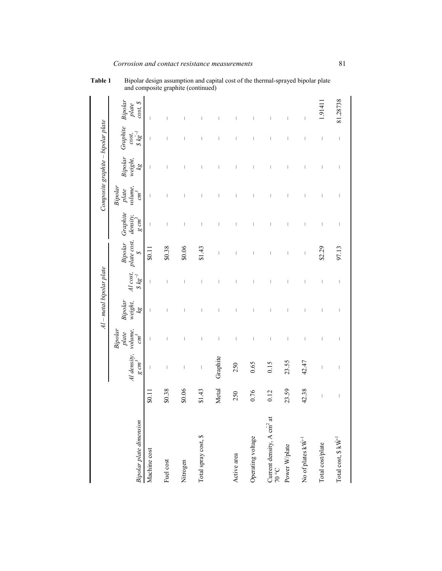**Table 1** Bipolar design assumption and capital cost of the thermal-sprayed bipolar plate and composite graphite (continued)

|                                                                              |                                                                                                                                                                                                                                                                                                                                                                                                                |                                                                                                                                                                                                                                                                                                                                                                                                                |                                                                                                                                                                                                                                                                                                                                                                                                                | Al – metal bipolar plate                                                                                                                                                                                                                                                                                                                                                         |                                                                                                                                                                                                                                                                                                                                                                                  |                                                                                                                                                                                                                                                                                                                                                                                                                |                                                                                                                                                                                                                                                                                                                                                                                                                |                                       | Composite graphite - bipolar plate                                                                                                                                                                                                                                                                                                                                               |                                                                                                                                                                                                                                                                                                                                                                                  |                                |
|------------------------------------------------------------------------------|----------------------------------------------------------------------------------------------------------------------------------------------------------------------------------------------------------------------------------------------------------------------------------------------------------------------------------------------------------------------------------------------------------------|----------------------------------------------------------------------------------------------------------------------------------------------------------------------------------------------------------------------------------------------------------------------------------------------------------------------------------------------------------------------------------------------------------------|----------------------------------------------------------------------------------------------------------------------------------------------------------------------------------------------------------------------------------------------------------------------------------------------------------------------------------------------------------------------------------------------------------------|----------------------------------------------------------------------------------------------------------------------------------------------------------------------------------------------------------------------------------------------------------------------------------------------------------------------------------------------------------------------------------|----------------------------------------------------------------------------------------------------------------------------------------------------------------------------------------------------------------------------------------------------------------------------------------------------------------------------------------------------------------------------------|----------------------------------------------------------------------------------------------------------------------------------------------------------------------------------------------------------------------------------------------------------------------------------------------------------------------------------------------------------------------------------------------------------------|----------------------------------------------------------------------------------------------------------------------------------------------------------------------------------------------------------------------------------------------------------------------------------------------------------------------------------------------------------------------------------------------------------------|---------------------------------------|----------------------------------------------------------------------------------------------------------------------------------------------------------------------------------------------------------------------------------------------------------------------------------------------------------------------------------------------------------------------------------|----------------------------------------------------------------------------------------------------------------------------------------------------------------------------------------------------------------------------------------------------------------------------------------------------------------------------------------------------------------------------------|--------------------------------|
| <b>Bipolar plate dimension</b>                                               |                                                                                                                                                                                                                                                                                                                                                                                                                | Al density, volume,<br>g cm <sup>3</sup> cm <sup>3</sup>                                                                                                                                                                                                                                                                                                                                                       | Bipolar<br>plate                                                                                                                                                                                                                                                                                                                                                                                               | Bipolar<br>weight,<br>$\mathscr{E}_N$                                                                                                                                                                                                                                                                                                                                            | Al cost,<br>$$kg^{-1}$$                                                                                                                                                                                                                                                                                                                                                          | plate cost,<br><b>Bipolar</b><br>$\mathscr{S}$                                                                                                                                                                                                                                                                                                                                                                 | Graphite<br>density,<br>$g$ cm <sup>3</sup>                                                                                                                                                                                                                                                                                                                                                                    | plate<br>volume,<br>Bipolar<br>$cm^3$ | <b>Bipolar</b><br>weight,<br>$\mathscr{E}$                                                                                                                                                                                                                                                                                                                                       | Graphite<br>$\frac{cost}{\sqrt[3]{kg}^{-l}}$                                                                                                                                                                                                                                                                                                                                     | Bipolar<br>$cost,$ \$<br>plate |
| Machine cost                                                                 | \$0.11                                                                                                                                                                                                                                                                                                                                                                                                         | $\begin{array}{c} \rule{0pt}{2ex} \rule{0pt}{2ex} \rule{0pt}{2ex} \rule{0pt}{2ex} \rule{0pt}{2ex} \rule{0pt}{2ex} \rule{0pt}{2ex} \rule{0pt}{2ex} \rule{0pt}{2ex} \rule{0pt}{2ex} \rule{0pt}{2ex} \rule{0pt}{2ex} \rule{0pt}{2ex} \rule{0pt}{2ex} \rule{0pt}{2ex} \rule{0pt}{2ex} \rule{0pt}{2ex} \rule{0pt}{2ex} \rule{0pt}{2ex} \rule{0pt}{2ex} \rule{0pt}{2ex} \rule{0pt}{2ex} \rule{0pt}{2ex} \rule{0pt}{$ | $\sf I$                                                                                                                                                                                                                                                                                                                                                                                                        | I                                                                                                                                                                                                                                                                                                                                                                                | $\sf I$                                                                                                                                                                                                                                                                                                                                                                          | \$0.11                                                                                                                                                                                                                                                                                                                                                                                                         | $\begin{array}{c} \rule{0pt}{2ex} \rule{0pt}{2ex} \rule{0pt}{2ex} \rule{0pt}{2ex} \rule{0pt}{2ex} \rule{0pt}{2ex} \rule{0pt}{2ex} \rule{0pt}{2ex} \rule{0pt}{2ex} \rule{0pt}{2ex} \rule{0pt}{2ex} \rule{0pt}{2ex} \rule{0pt}{2ex} \rule{0pt}{2ex} \rule{0pt}{2ex} \rule{0pt}{2ex} \rule{0pt}{2ex} \rule{0pt}{2ex} \rule{0pt}{2ex} \rule{0pt}{2ex} \rule{0pt}{2ex} \rule{0pt}{2ex} \rule{0pt}{2ex} \rule{0pt}{$ | $\begin{array}{c} \end{array}$        | I                                                                                                                                                                                                                                                                                                                                                                                | I                                                                                                                                                                                                                                                                                                                                                                                | I                              |
| Fuel cost                                                                    | \$0.38                                                                                                                                                                                                                                                                                                                                                                                                         | $\begin{array}{c} \rule{0pt}{2.5ex} \rule{0pt}{2.5ex} \rule{0pt}{2.5ex} \rule{0pt}{2.5ex} \rule{0pt}{2.5ex} \rule{0pt}{2.5ex} \rule{0pt}{2.5ex} \rule{0pt}{2.5ex} \rule{0pt}{2.5ex} \rule{0pt}{2.5ex} \rule{0pt}{2.5ex} \rule{0pt}{2.5ex} \rule{0pt}{2.5ex} \rule{0pt}{2.5ex} \rule{0pt}{2.5ex} \rule{0pt}{2.5ex} \rule{0pt}{2.5ex} \rule{0pt}{2.5ex} \rule{0pt}{2.5ex} \rule{0$                               | $\begin{array}{c} \hline \end{array}$                                                                                                                                                                                                                                                                                                                                                                          | I                                                                                                                                                                                                                                                                                                                                                                                | $\begin{array}{c} \rule{0pt}{2.5ex} \rule{0pt}{2.5ex} \rule{0pt}{2.5ex} \rule{0pt}{2.5ex} \rule{0pt}{2.5ex} \rule{0pt}{2.5ex} \rule{0pt}{2.5ex} \rule{0pt}{2.5ex} \rule{0pt}{2.5ex} \rule{0pt}{2.5ex} \rule{0pt}{2.5ex} \rule{0pt}{2.5ex} \rule{0pt}{2.5ex} \rule{0pt}{2.5ex} \rule{0pt}{2.5ex} \rule{0pt}{2.5ex} \rule{0pt}{2.5ex} \rule{0pt}{2.5ex} \rule{0pt}{2.5ex} \rule{0$ | \$0.38                                                                                                                                                                                                                                                                                                                                                                                                         | $\begin{array}{c} \rule{0pt}{2.5ex} \rule{0pt}{2.5ex} \rule{0pt}{2.5ex} \rule{0pt}{2.5ex} \rule{0pt}{2.5ex} \rule{0pt}{2.5ex} \rule{0pt}{2.5ex} \rule{0pt}{2.5ex} \rule{0pt}{2.5ex} \rule{0pt}{2.5ex} \rule{0pt}{2.5ex} \rule{0pt}{2.5ex} \rule{0pt}{2.5ex} \rule{0pt}{2.5ex} \rule{0pt}{2.5ex} \rule{0pt}{2.5ex} \rule{0pt}{2.5ex} \rule{0pt}{2.5ex} \rule{0pt}{2.5ex} \rule{0$                               | I                                     | I                                                                                                                                                                                                                                                                                                                                                                                | I                                                                                                                                                                                                                                                                                                                                                                                | I                              |
| Nitrogen                                                                     | \$0.06                                                                                                                                                                                                                                                                                                                                                                                                         | $\begin{array}{c} \rule{0pt}{2.5ex} \rule{0pt}{2.5ex} \rule{0pt}{2.5ex} \rule{0pt}{2.5ex} \rule{0pt}{2.5ex} \rule{0pt}{2.5ex} \rule{0pt}{2.5ex} \rule{0pt}{2.5ex} \rule{0pt}{2.5ex} \rule{0pt}{2.5ex} \rule{0pt}{2.5ex} \rule{0pt}{2.5ex} \rule{0pt}{2.5ex} \rule{0pt}{2.5ex} \rule{0pt}{2.5ex} \rule{0pt}{2.5ex} \rule{0pt}{2.5ex} \rule{0pt}{2.5ex} \rule{0pt}{2.5ex} \rule{0$                               | I                                                                                                                                                                                                                                                                                                                                                                                                              |                                                                                                                                                                                                                                                                                                                                                                                  |                                                                                                                                                                                                                                                                                                                                                                                  | \$0.06                                                                                                                                                                                                                                                                                                                                                                                                         | $\begin{array}{c} \end{array}$                                                                                                                                                                                                                                                                                                                                                                                 |                                       | I                                                                                                                                                                                                                                                                                                                                                                                | I                                                                                                                                                                                                                                                                                                                                                                                |                                |
| Total spray cost, \$                                                         | \$1.43                                                                                                                                                                                                                                                                                                                                                                                                         | $\sf I$                                                                                                                                                                                                                                                                                                                                                                                                        | $\begin{array}{c} \rule{0pt}{2.5ex} \rule{0pt}{2.5ex} \rule{0pt}{2.5ex} \rule{0pt}{2.5ex} \rule{0pt}{2.5ex} \rule{0pt}{2.5ex} \rule{0pt}{2.5ex} \rule{0pt}{2.5ex} \rule{0pt}{2.5ex} \rule{0pt}{2.5ex} \rule{0pt}{2.5ex} \rule{0pt}{2.5ex} \rule{0pt}{2.5ex} \rule{0pt}{2.5ex} \rule{0pt}{2.5ex} \rule{0pt}{2.5ex} \rule{0pt}{2.5ex} \rule{0pt}{2.5ex} \rule{0pt}{2.5ex} \rule{0$                               | I                                                                                                                                                                                                                                                                                                                                                                                | I                                                                                                                                                                                                                                                                                                                                                                                | \$1.43                                                                                                                                                                                                                                                                                                                                                                                                         | $\begin{array}{c} \rule{0pt}{2.5ex} \rule{0pt}{2.5ex} \rule{0pt}{2.5ex} \rule{0pt}{2.5ex} \rule{0pt}{2.5ex} \rule{0pt}{2.5ex} \rule{0pt}{2.5ex} \rule{0pt}{2.5ex} \rule{0pt}{2.5ex} \rule{0pt}{2.5ex} \rule{0pt}{2.5ex} \rule{0pt}{2.5ex} \rule{0pt}{2.5ex} \rule{0pt}{2.5ex} \rule{0pt}{2.5ex} \rule{0pt}{2.5ex} \rule{0pt}{2.5ex} \rule{0pt}{2.5ex} \rule{0pt}{2.5ex} \rule{0$                               |                                       | I                                                                                                                                                                                                                                                                                                                                                                                | I                                                                                                                                                                                                                                                                                                                                                                                |                                |
|                                                                              | Metal                                                                                                                                                                                                                                                                                                                                                                                                          | Graphite                                                                                                                                                                                                                                                                                                                                                                                                       | $\begin{array}{c} \rule{0pt}{2.5ex} \rule{0pt}{2.5ex} \rule{0pt}{2.5ex} \rule{0pt}{2.5ex} \rule{0pt}{2.5ex} \rule{0pt}{2.5ex} \rule{0pt}{2.5ex} \rule{0pt}{2.5ex} \rule{0pt}{2.5ex} \rule{0pt}{2.5ex} \rule{0pt}{2.5ex} \rule{0pt}{2.5ex} \rule{0pt}{2.5ex} \rule{0pt}{2.5ex} \rule{0pt}{2.5ex} \rule{0pt}{2.5ex} \rule{0pt}{2.5ex} \rule{0pt}{2.5ex} \rule{0pt}{2.5ex} \rule{0$                               | I                                                                                                                                                                                                                                                                                                                                                                                |                                                                                                                                                                                                                                                                                                                                                                                  | $\begin{array}{c} \rule{0pt}{2.5ex} \rule{0pt}{2.5ex} \rule{0pt}{2.5ex} \rule{0pt}{2.5ex} \rule{0pt}{2.5ex} \rule{0pt}{2.5ex} \rule{0pt}{2.5ex} \rule{0pt}{2.5ex} \rule{0pt}{2.5ex} \rule{0pt}{2.5ex} \rule{0pt}{2.5ex} \rule{0pt}{2.5ex} \rule{0pt}{2.5ex} \rule{0pt}{2.5ex} \rule{0pt}{2.5ex} \rule{0pt}{2.5ex} \rule{0pt}{2.5ex} \rule{0pt}{2.5ex} \rule{0pt}{2.5ex} \rule{0$                               | $\begin{array}{c} \rule{0pt}{2.5ex} \rule{0pt}{2.5ex} \rule{0pt}{2.5ex} \rule{0pt}{2.5ex} \rule{0pt}{2.5ex} \rule{0pt}{2.5ex} \rule{0pt}{2.5ex} \rule{0pt}{2.5ex} \rule{0pt}{2.5ex} \rule{0pt}{2.5ex} \rule{0pt}{2.5ex} \rule{0pt}{2.5ex} \rule{0pt}{2.5ex} \rule{0pt}{2.5ex} \rule{0pt}{2.5ex} \rule{0pt}{2.5ex} \rule{0pt}{2.5ex} \rule{0pt}{2.5ex} \rule{0pt}{2.5ex} \rule{0$                               | I                                     | $\begin{array}{c} \rule{0pt}{2.5ex} \rule{0pt}{2.5ex} \rule{0pt}{2.5ex} \rule{0pt}{2.5ex} \rule{0pt}{2.5ex} \rule{0pt}{2.5ex} \rule{0pt}{2.5ex} \rule{0pt}{2.5ex} \rule{0pt}{2.5ex} \rule{0pt}{2.5ex} \rule{0pt}{2.5ex} \rule{0pt}{2.5ex} \rule{0pt}{2.5ex} \rule{0pt}{2.5ex} \rule{0pt}{2.5ex} \rule{0pt}{2.5ex} \rule{0pt}{2.5ex} \rule{0pt}{2.5ex} \rule{0pt}{2.5ex} \rule{0$ | I                                                                                                                                                                                                                                                                                                                                                                                |                                |
| Active area                                                                  | 250                                                                                                                                                                                                                                                                                                                                                                                                            | 250                                                                                                                                                                                                                                                                                                                                                                                                            | $\sf I$                                                                                                                                                                                                                                                                                                                                                                                                        | I                                                                                                                                                                                                                                                                                                                                                                                |                                                                                                                                                                                                                                                                                                                                                                                  | $\begin{array}{c} \rule{0pt}{2ex} \rule{0pt}{2ex} \rule{0pt}{2ex} \rule{0pt}{2ex} \rule{0pt}{2ex} \rule{0pt}{2ex} \rule{0pt}{2ex} \rule{0pt}{2ex} \rule{0pt}{2ex} \rule{0pt}{2ex} \rule{0pt}{2ex} \rule{0pt}{2ex} \rule{0pt}{2ex} \rule{0pt}{2ex} \rule{0pt}{2ex} \rule{0pt}{2ex} \rule{0pt}{2ex} \rule{0pt}{2ex} \rule{0pt}{2ex} \rule{0pt}{2ex} \rule{0pt}{2ex} \rule{0pt}{2ex} \rule{0pt}{2ex} \rule{0pt}{$ | I                                                                                                                                                                                                                                                                                                                                                                                                              |                                       | I                                                                                                                                                                                                                                                                                                                                                                                | I                                                                                                                                                                                                                                                                                                                                                                                |                                |
| Operating voltage                                                            | 0.76                                                                                                                                                                                                                                                                                                                                                                                                           | 0.65                                                                                                                                                                                                                                                                                                                                                                                                           | $\mid$                                                                                                                                                                                                                                                                                                                                                                                                         | $\mid$                                                                                                                                                                                                                                                                                                                                                                           | $\mid$                                                                                                                                                                                                                                                                                                                                                                           | I                                                                                                                                                                                                                                                                                                                                                                                                              | I                                                                                                                                                                                                                                                                                                                                                                                                              | I                                     | I                                                                                                                                                                                                                                                                                                                                                                                | $\mid$                                                                                                                                                                                                                                                                                                                                                                           |                                |
| Current density, A $\text{cm}^2$ at<br>$\mathop{\rm {}O^o}\nolimits 0\Delta$ | 0.12                                                                                                                                                                                                                                                                                                                                                                                                           | 0.15                                                                                                                                                                                                                                                                                                                                                                                                           | $\begin{array}{c} \rule{0pt}{2.5ex} \rule{0pt}{2.5ex} \rule{0pt}{2.5ex} \rule{0pt}{2.5ex} \rule{0pt}{2.5ex} \rule{0pt}{2.5ex} \rule{0pt}{2.5ex} \rule{0pt}{2.5ex} \rule{0pt}{2.5ex} \rule{0pt}{2.5ex} \rule{0pt}{2.5ex} \rule{0pt}{2.5ex} \rule{0pt}{2.5ex} \rule{0pt}{2.5ex} \rule{0pt}{2.5ex} \rule{0pt}{2.5ex} \rule{0pt}{2.5ex} \rule{0pt}{2.5ex} \rule{0pt}{2.5ex} \rule{0$                               | $\overline{\phantom{a}}$                                                                                                                                                                                                                                                                                                                                                         | I                                                                                                                                                                                                                                                                                                                                                                                | I                                                                                                                                                                                                                                                                                                                                                                                                              | I                                                                                                                                                                                                                                                                                                                                                                                                              | I                                     | I                                                                                                                                                                                                                                                                                                                                                                                | I                                                                                                                                                                                                                                                                                                                                                                                | I                              |
| Power W/plate                                                                | 23.59                                                                                                                                                                                                                                                                                                                                                                                                          | 23.55                                                                                                                                                                                                                                                                                                                                                                                                          | $\begin{array}{c} \rule{0pt}{2ex} \rule{0pt}{2ex} \rule{0pt}{2ex} \rule{0pt}{2ex} \rule{0pt}{2ex} \rule{0pt}{2ex} \rule{0pt}{2ex} \rule{0pt}{2ex} \rule{0pt}{2ex} \rule{0pt}{2ex} \rule{0pt}{2ex} \rule{0pt}{2ex} \rule{0pt}{2ex} \rule{0pt}{2ex} \rule{0pt}{2ex} \rule{0pt}{2ex} \rule{0pt}{2ex} \rule{0pt}{2ex} \rule{0pt}{2ex} \rule{0pt}{2ex} \rule{0pt}{2ex} \rule{0pt}{2ex} \rule{0pt}{2ex} \rule{0pt}{$ | I                                                                                                                                                                                                                                                                                                                                                                                | I                                                                                                                                                                                                                                                                                                                                                                                | I                                                                                                                                                                                                                                                                                                                                                                                                              | I                                                                                                                                                                                                                                                                                                                                                                                                              | I                                     | I                                                                                                                                                                                                                                                                                                                                                                                | I                                                                                                                                                                                                                                                                                                                                                                                | I                              |
| No of plates kW <sup>-1</sup>                                                | 42.38                                                                                                                                                                                                                                                                                                                                                                                                          | 42.47                                                                                                                                                                                                                                                                                                                                                                                                          | $\begin{array}{c} \rule{0pt}{2ex} \rule{0pt}{2ex} \rule{0pt}{2ex} \rule{0pt}{2ex} \rule{0pt}{2ex} \rule{0pt}{2ex} \rule{0pt}{2ex} \rule{0pt}{2ex} \rule{0pt}{2ex} \rule{0pt}{2ex} \rule{0pt}{2ex} \rule{0pt}{2ex} \rule{0pt}{2ex} \rule{0pt}{2ex} \rule{0pt}{2ex} \rule{0pt}{2ex} \rule{0pt}{2ex} \rule{0pt}{2ex} \rule{0pt}{2ex} \rule{0pt}{2ex} \rule{0pt}{2ex} \rule{0pt}{2ex} \rule{0pt}{2ex} \rule{0pt}{$ | $\begin{array}{c} \rule{0pt}{2.5ex} \rule{0pt}{2.5ex} \rule{0pt}{2.5ex} \rule{0pt}{2.5ex} \rule{0pt}{2.5ex} \rule{0pt}{2.5ex} \rule{0pt}{2.5ex} \rule{0pt}{2.5ex} \rule{0pt}{2.5ex} \rule{0pt}{2.5ex} \rule{0pt}{2.5ex} \rule{0pt}{2.5ex} \rule{0pt}{2.5ex} \rule{0pt}{2.5ex} \rule{0pt}{2.5ex} \rule{0pt}{2.5ex} \rule{0pt}{2.5ex} \rule{0pt}{2.5ex} \rule{0pt}{2.5ex} \rule{0$ | $\begin{array}{c} \end{array}$                                                                                                                                                                                                                                                                                                                                                   | $\mid$                                                                                                                                                                                                                                                                                                                                                                                                         | I                                                                                                                                                                                                                                                                                                                                                                                                              | I                                     | $\begin{array}{c} \rule{0pt}{2.5ex} \rule{0pt}{2.5ex} \rule{0pt}{2.5ex} \rule{0pt}{2.5ex} \rule{0pt}{2.5ex} \rule{0pt}{2.5ex} \rule{0pt}{2.5ex} \rule{0pt}{2.5ex} \rule{0pt}{2.5ex} \rule{0pt}{2.5ex} \rule{0pt}{2.5ex} \rule{0pt}{2.5ex} \rule{0pt}{2.5ex} \rule{0pt}{2.5ex} \rule{0pt}{2.5ex} \rule{0pt}{2.5ex} \rule{0pt}{2.5ex} \rule{0pt}{2.5ex} \rule{0pt}{2.5ex} \rule{0$ | I                                                                                                                                                                                                                                                                                                                                                                                | I                              |
| Total cost/plate                                                             | $\begin{array}{c} \rule{0pt}{2ex} \rule{0pt}{2ex} \rule{0pt}{2ex} \rule{0pt}{2ex} \rule{0pt}{2ex} \rule{0pt}{2ex} \rule{0pt}{2ex} \rule{0pt}{2ex} \rule{0pt}{2ex} \rule{0pt}{2ex} \rule{0pt}{2ex} \rule{0pt}{2ex} \rule{0pt}{2ex} \rule{0pt}{2ex} \rule{0pt}{2ex} \rule{0pt}{2ex} \rule{0pt}{2ex} \rule{0pt}{2ex} \rule{0pt}{2ex} \rule{0pt}{2ex} \rule{0pt}{2ex} \rule{0pt}{2ex} \rule{0pt}{2ex} \rule{0pt}{$ | $\mid$                                                                                                                                                                                                                                                                                                                                                                                                         | I                                                                                                                                                                                                                                                                                                                                                                                                              | I                                                                                                                                                                                                                                                                                                                                                                                | $\begin{array}{c} \rule{0pt}{2.5ex} \rule{0pt}{2.5ex} \rule{0pt}{2.5ex} \rule{0pt}{2.5ex} \rule{0pt}{2.5ex} \rule{0pt}{2.5ex} \rule{0pt}{2.5ex} \rule{0pt}{2.5ex} \rule{0pt}{2.5ex} \rule{0pt}{2.5ex} \rule{0pt}{2.5ex} \rule{0pt}{2.5ex} \rule{0pt}{2.5ex} \rule{0pt}{2.5ex} \rule{0pt}{2.5ex} \rule{0pt}{2.5ex} \rule{0pt}{2.5ex} \rule{0pt}{2.5ex} \rule{0pt}{2.5ex} \rule{0$ | \$2.29                                                                                                                                                                                                                                                                                                                                                                                                         | I                                                                                                                                                                                                                                                                                                                                                                                                              | I                                     | I                                                                                                                                                                                                                                                                                                                                                                                | $\begin{array}{c} \rule{0pt}{2.5ex} \rule{0pt}{2.5ex} \rule{0pt}{2.5ex} \rule{0pt}{2.5ex} \rule{0pt}{2.5ex} \rule{0pt}{2.5ex} \rule{0pt}{2.5ex} \rule{0pt}{2.5ex} \rule{0pt}{2.5ex} \rule{0pt}{2.5ex} \rule{0pt}{2.5ex} \rule{0pt}{2.5ex} \rule{0pt}{2.5ex} \rule{0pt}{2.5ex} \rule{0pt}{2.5ex} \rule{0pt}{2.5ex} \rule{0pt}{2.5ex} \rule{0pt}{2.5ex} \rule{0pt}{2.5ex} \rule{0$ | 1.9141                         |
| Total cost, \$ kW <sup>-1</sup>                                              | $\mid$                                                                                                                                                                                                                                                                                                                                                                                                         | $\mid$                                                                                                                                                                                                                                                                                                                                                                                                         | $\sf I$                                                                                                                                                                                                                                                                                                                                                                                                        | $\mid$                                                                                                                                                                                                                                                                                                                                                                           | $\mid$                                                                                                                                                                                                                                                                                                                                                                           | 97.13                                                                                                                                                                                                                                                                                                                                                                                                          | $\mid$                                                                                                                                                                                                                                                                                                                                                                                                         | I                                     | $\mid$                                                                                                                                                                                                                                                                                                                                                                           | $\sf I$                                                                                                                                                                                                                                                                                                                                                                          | 81.28738                       |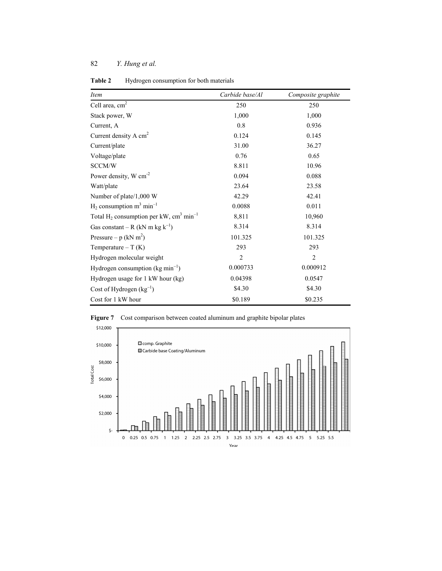| <b>Item</b>                                          | Carbide base/Al | Composite graphite |
|------------------------------------------------------|-----------------|--------------------|
| Cell area, cm <sup>2</sup>                           | 250             | 250                |
| Stack power, W                                       | 1,000           | 1,000              |
| Current, A                                           | 0.8             | 0.936              |
| Current density A $cm2$                              | 0.124           | 0.145              |
| Current/plate                                        | 31.00           | 36.27              |
| Voltage/plate                                        | 0.76            | 0.65               |
| SCCM/W                                               | 8.811           | 10.96              |
| Power density, W cm <sup>-2</sup>                    | 0.094           | 0.088              |
| Watt/plate                                           | 23.64           | 23.58              |
| Number of plate/1,000 W                              | 42.29           | 42.41              |
| $H_2$ consumption m <sup>3</sup> min <sup>-1</sup>   | 0.0088          | 0.011              |
| Total H <sub>2</sub> consumption per kW, $cm3 min-1$ | 8,811           | 10,960             |
| Gas constant – R (kN m kg $k^{-1}$ )                 | 8.314           | 8.314              |
| Pressure – $p$ (kN m <sup>2</sup> )                  | 101.325         | 101.325            |
| Temperature – T $(K)$                                | 293             | 293                |
| Hydrogen molecular weight                            | $\overline{2}$  | $\overline{2}$     |
| Hydrogen consumption ( $kg min^{-1}$ )               | 0.000733        | 0.000912           |
| Hydrogen usage for 1 kW hour (kg)                    | 0.04398         | 0.0547             |
| Cost of Hydrogen $(kg^{-1})$                         | \$4.30          | \$4.30             |
| Cost for 1 kW hour                                   | \$0.189         | \$0.235            |

Table 2 **Hydrogen consumption for both materials** 

**Figure 7** Cost comparison between coated aluminum and graphite bipolar plates

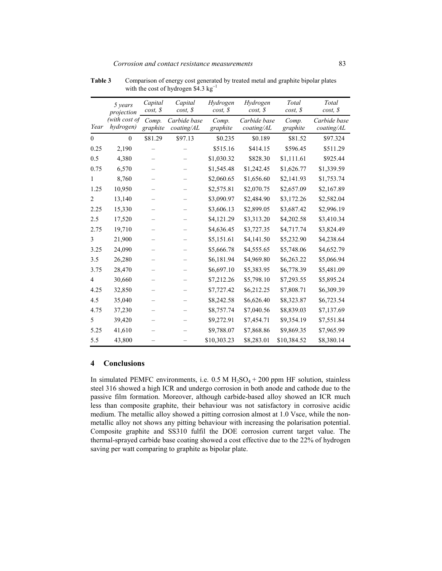|                | 5 years<br>projection      | Capital<br>$cost,$ $\Diamond$ | Capital<br>$cost,$ $\delta$ | Hydrogen<br>$cost,$ $\Diamond$ | Hydrogen<br>$cost,$ $\Diamond$ | Total<br>$cost,$ $\Diamond$ | Total<br>$cost,$ $\Diamond$ |
|----------------|----------------------------|-------------------------------|-----------------------------|--------------------------------|--------------------------------|-----------------------------|-----------------------------|
| Year           | (with cost of<br>hydrogen) | Comp.<br>graphite             | Carbide base<br>coating/AL  | Comp.<br>graphite              | Carbide base<br>coating/AL     | Comp.<br>graphite           | Carbide base<br>coating/AL  |
| $\overline{0}$ | $\theta$                   | \$81.29                       | \$97.13                     | \$0.235                        | \$0.189                        | \$81.52                     | \$97.324                    |
| 0.25           | 2,190                      |                               |                             | \$515.16                       | \$414.15                       | \$596.45                    | \$511.29                    |
| 0.5            | 4,380                      |                               |                             | \$1,030.32                     | \$828.30                       | \$1,111.61                  | \$925.44                    |
| 0.75           | 6,570                      |                               |                             | \$1,545.48                     | \$1,242.45                     | \$1,626.77                  | \$1,339.59                  |
| 1              | 8,760                      |                               |                             | \$2,060.65                     | \$1,656.60                     | \$2,141.93                  | \$1,753.74                  |
| 1.25           | 10,950                     |                               |                             | \$2,575.81                     | \$2,070.75                     | \$2,657.09                  | \$2,167.89                  |
| 2              | 13,140                     |                               |                             | \$3,090.97                     | \$2,484.90                     | \$3,172.26                  | \$2,582.04                  |
| 2.25           | 15,330                     |                               |                             | \$3,606.13                     | \$2,899.05                     | \$3,687.42                  | \$2,996.19                  |
| 2.5            | 17,520                     |                               |                             | \$4,121.29                     | \$3,313.20                     | \$4,202.58                  | \$3,410.34                  |
| 2.75           | 19,710                     |                               |                             | \$4,636.45                     | \$3,727.35                     | \$4,717.74                  | \$3,824.49                  |
| 3              | 21,900                     |                               |                             | \$5,151.61                     | \$4,141.50                     | \$5,232.90                  | \$4,238.64                  |
| 3.25           | 24,090                     |                               |                             | \$5,666.78                     | \$4,555.65                     | \$5,748.06                  | \$4,652.79                  |
| 3.5            | 26,280                     |                               |                             | \$6,181.94                     | \$4,969.80                     | \$6,263.22                  | \$5,066.94                  |
| 3.75           | 28,470                     |                               |                             | \$6,697.10                     | \$5,383.95                     | \$6,778.39                  | \$5,481.09                  |
| $\overline{4}$ | 30,660                     |                               |                             | \$7,212.26                     | \$5,798.10                     | \$7,293.55                  | \$5,895.24                  |
| 4.25           | 32,850                     |                               |                             | \$7,727.42                     | \$6,212.25                     | \$7,808.71                  | \$6,309.39                  |
| 4.5            | 35,040                     |                               |                             | \$8,242.58                     | \$6,626.40                     | \$8,323.87                  | \$6,723.54                  |
| 4.75           | 37,230                     |                               |                             | \$8,757.74                     | \$7,040.56                     | \$8,839.03                  | \$7,137.69                  |
| 5              | 39,420                     |                               |                             | \$9,272.91                     | \$7,454.71                     | \$9,354.19                  | \$7,551.84                  |
| 5.25           | 41,610                     |                               |                             | \$9,788.07                     | \$7,868.86                     | \$9,869.35                  | \$7,965.99                  |
| 5.5            | 43,800                     |                               |                             | \$10,303.23                    | \$8,283.01                     | \$10,384.52                 | \$8,380.14                  |

Table 3 Comparison of energy cost generated by treated metal and graphite bipolar plates with the cost of hydrogen \$4.3  $kg^{-1}$ 

#### **4 Conclusions**

In simulated PEMFC environments, i.e.  $0.5$  M  $H_2SO_4 + 200$  ppm HF solution, stainless steel 316 showed a high ICR and undergo corrosion in both anode and cathode due to the passive film formation. Moreover, although carbide-based alloy showed an ICR much less than composite graphite, their behaviour was not satisfactory in corrosive acidic medium. The metallic alloy showed a pitting corrosion almost at 1.0 Vsce, while the nonmetallic alloy not shows any pitting behaviour with increasing the polarisation potential. Composite graphite and SS310 fulfil the DOE corrosion current target value. The thermal-sprayed carbide base coating showed a cost effective due to the 22% of hydrogen saving per watt comparing to graphite as bipolar plate.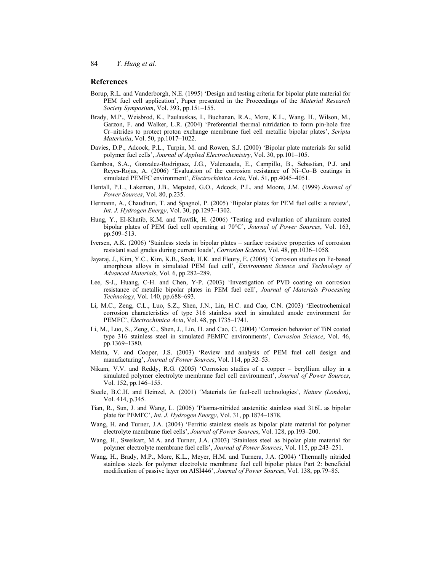#### **References**

- Borup, R.L. and Vanderborgh, N.E. (1995) 'Design and testing criteria for bipolar plate material for PEM fuel cell application', Paper presented in the Proceedings of the *Material Research Society Symposium*, Vol. 393, pp.151–155.
- Brady, M.P., Weisbrod, K., Paulauskas, I., Buchanan, R.A., More, K.L., Wang, H., Wilson, M., Garzon, F. and Walker, L.R. (2004) 'Preferential thermal nitridation to form pin-hole free Cr–nitrides to protect proton exchange membrane fuel cell metallic bipolar plates', *Scripta Materialia*, Vol. 50, pp.1017–1022.
- Davies, D.P., Adcock, P.L., Turpin, M. and Rowen, S.J. (2000) 'Bipolar plate materials for solid polymer fuel cells', *Journal of Applied Electrochemistry*, Vol. 30, pp.101–105.
- Gamboa, S.A., Gonzalez-Rodriguez, J.G., Valenzuela, E., Campillo, B., Sebastian, P.J. and Reyes-Rojas, A. (2006) 'Evaluation of the corrosion resistance of Ni–Co–B coatings in simulated PEMFC environment', *Electrochimica Acta*, Vol. 51, pp.4045–4051.
- Hentall, P.L., Lakeman, J.B., Mepsted, G.O., Adcock, P.L. and Moore, J.M. (1999) *Journal of Power Sources*, Vol. 80, p.235.
- Hermann, A., Chaudhuri, T. and Spagnol, P. (2005) 'Bipolar plates for PEM fuel cells: a review', *Int. J. Hydrogen Energy*, Vol. 30, pp.1297–1302.
- Hung, Y., El-Khatib, K.M. and Tawfik, H. (2006) 'Testing and evaluation of aluminum coated bipolar plates of PEM fuel cell operating at 70°C', *Journal of Power Sources*, Vol. 163, pp.509–513.
- Iversen, A.K. (2006) 'Stainless steels in bipolar plates surface resistive properties of corrosion resistant steel grades during current loads', *Corrosion Science*, Vol. 48, pp.1036–1058.
- Jayaraj, J., Kim, Y.C., Kim, K.B., Seok, H.K. and Fleury, E. (2005) 'Corrosion studies on Fe-based amorphous alloys in simulated PEM fuel cell', *Environment Science and Technology of Advanced Materials*, Vol. 6, pp.282–289.
- Lee, S-J., Huang, C-H. and Chen, Y-P. (2003) 'Investigation of PVD coating on corrosion resistance of metallic bipolar plates in PEM fuel cell', *Journal of Materials Processing Technology*, Vol. 140, pp.688–693.
- Li, M.C., Zeng, C.L., Luo, S.Z., Shen, J.N., Lin, H.C. and Cao, C.N. (2003) 'Electrochemical corrosion characteristics of type 316 stainless steel in simulated anode environment for PEMFC', *Electrochimica Acta*, Vol. 48, pp.1735–1741.
- Li, M., Luo, S., Zeng, C., Shen, J., Lin, H. and Cao, C. (2004) 'Corrosion behavior of TiN coated type 316 stainless steel in simulated PEMFC environments', *Corrosion Science*, Vol. 46, pp.1369–1380.
- Mehta, V. and Cooper, J.S. (2003) 'Review and analysis of PEM fuel cell design and manufacturing', *Journal of Power Sources*, Vol. 114, pp.32–53.
- Nikam, V.V. and Reddy, R.G. (2005) 'Corrosion studies of a copper beryllium alloy in a simulated polymer electrolyte membrane fuel cell environment', *Journal of Power Sources*, Vol. 152, pp.146–155.
- Steele, B.C.H. and Heinzel, A. (2001) 'Materials for fuel-cell technologies', *Nature (London)*, Vol. 414, p.345.
- Tian, R., Sun, J. and Wang, L. (2006) 'Plasma-nitrided austenitic stainless steel 316L as bipolar plate for PEMFC', *Int. J. Hydrogen Energy*, Vol. 31, pp.1874–1878.
- Wang, H. and Turner, J.A. (2004) 'Ferritic stainless steels as bipolar plate material for polymer electrolyte membrane fuel cells', *Journal of Power Sources*, Vol. 128, pp.193–200.
- Wang, H., Sweikart, M.A. and Turner, J.A. (2003) 'Stainless steel as bipolar plate material for polymer electrolyte membrane fuel cells', *Journal of Power Sources*, Vol. 115, pp.243–251.
- Wang, H., Brady, M.P., More, K.L., Meyer, H.M. and Turnera, J.A. (2004) 'Thermally nitrided stainless steels for polymer electrolyte membrane fuel cell bipolar plates Part 2: beneficial modification of passive layer on AISI446', *Journal of Power Sources*, Vol. 138, pp.79–85.